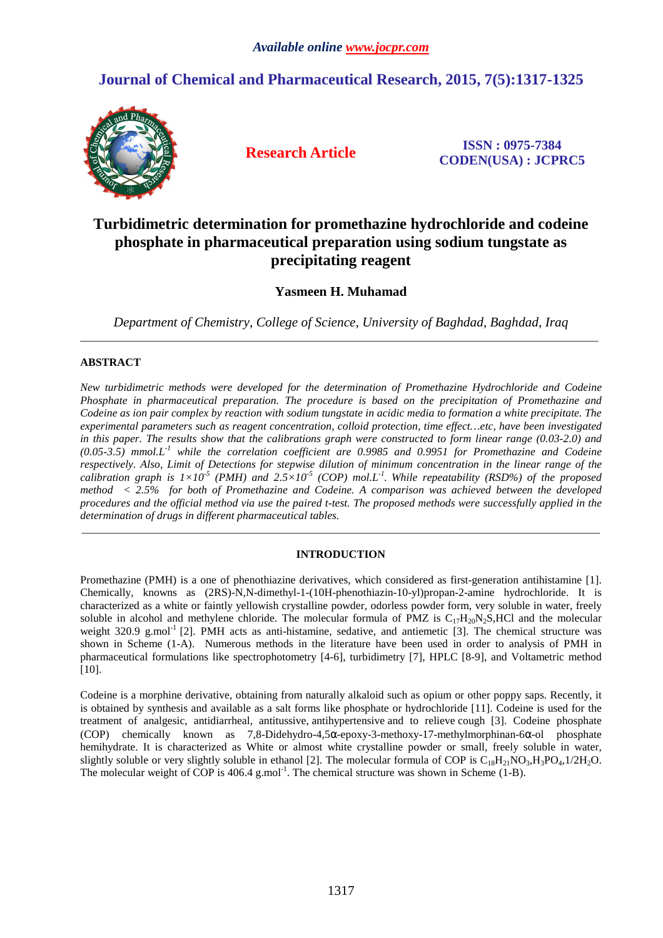# **Journal of Chemical and Pharmaceutical Research, 2015, 7(5):1317-1325**



**Research Article ISSN : 0975-7384 CODEN(USA) : JCPRC5**

# **Turbidimetric determination for promethazine hydrochloride and codeine phosphate in pharmaceutical preparation using sodium tungstate as precipitating reagent**

## **Yasmeen H. Muhamad**

*Department of Chemistry, College of Science, University of Baghdad, Baghdad, Iraq*   $\overline{a}$  , and the contribution of the contribution of the contribution of the contribution of the contribution of the contribution of the contribution of the contribution of the contribution of the contribution of the co

## **ABSTRACT**

*New turbidimetric methods were developed for the determination of Promethazine Hydrochloride and Codeine Phosphate in pharmaceutical preparation. The procedure is based on the precipitation of Promethazine and Codeine as ion pair complex by reaction with sodium tungstate in acidic media to formation a white precipitate. The experimental parameters such as reagent concentration, colloid protection, time effect…etc, have been investigated in this paper. The results show that the calibrations graph were constructed to form linear range (0.03-2.0) and (0.05-3.5) mmol.L-1 while the correlation coefficient are 0.9985 and 0.9951 for Promethazine and Codeine respectively. Also, Limit of Detections for stepwise dilution of minimum concentration in the linear range of the calibration graph is*  $1\times10^{-5}$  *(PMH) and*  $2.5\times10^{-5}$  *(COP) mol.L<sup>1</sup>. While repeatability (RSD%) of the proposed method < 2.5% for both of Promethazine and Codeine. A comparison was achieved between the developed procedures and the official method via use the paired t-test. The proposed methods were successfully applied in the determination of drugs in different pharmaceutical tables.* 

## **INTRODUCTION**

\_\_\_\_\_\_\_\_\_\_\_\_\_\_\_\_\_\_\_\_\_\_\_\_\_\_\_\_\_\_\_\_\_\_\_\_\_\_\_\_\_\_\_\_\_\_\_\_\_\_\_\_\_\_\_\_\_\_\_\_\_\_\_\_\_\_\_\_\_\_\_\_\_\_\_\_\_\_\_\_\_\_\_\_\_\_\_\_\_\_\_\_\_

Promethazine (PMH) is a one of phenothiazine derivatives, which considered as first-generation antihistamine [1]. Chemically, knowns as (2RS)-N,N-dimethyl-1-(10H-phenothiazin-10-yl)propan-2-amine hydrochloride. It is characterized as a white or faintly yellowish crystalline powder, odorless powder form, very soluble in water, freely soluble in alcohol and methylene chloride. The molecular formula of PMZ is  $C_{17}H_{20}N_2S$ ,HCl and the molecular weight 320.9 g.mol<sup>-1</sup> [2]. PMH acts as anti-histamine, sedative, and antiemetic [3]. The chemical structure was shown in Scheme (1-A). Numerous methods in the literature have been used in order to analysis of PMH in pharmaceutical formulations like spectrophotometry [4-6], turbidimetry [7], HPLC [8-9], and Voltametric method [10].

Codeine is a morphine derivative, obtaining from naturally alkaloid such as opium or other poppy saps. Recently, it is obtained by synthesis and available as a salt forms like phosphate or hydrochloride [11]. Codeine is used for the treatment of analgesic, antidiarrheal, antitussive, antihypertensive and to relieve cough [3]. Codeine phosphate (COP) chemically known as 7,8-Didehydro-4,5α-epoxy-3-methoxy-17-methylmorphinan-6α-ol phosphate hemihydrate. It is characterized as White or almost white crystalline powder or small, freely soluble in water, slightly soluble or very slightly soluble in ethanol [2]. The molecular formula of COP is  $C_{18}H_{21}NO_3,H_3PO_4,1/2H_2O$ . The molecular weight of COP is  $406.4 \text{ g.mol}^{-1}$ . The chemical structure was shown in Scheme (1-B).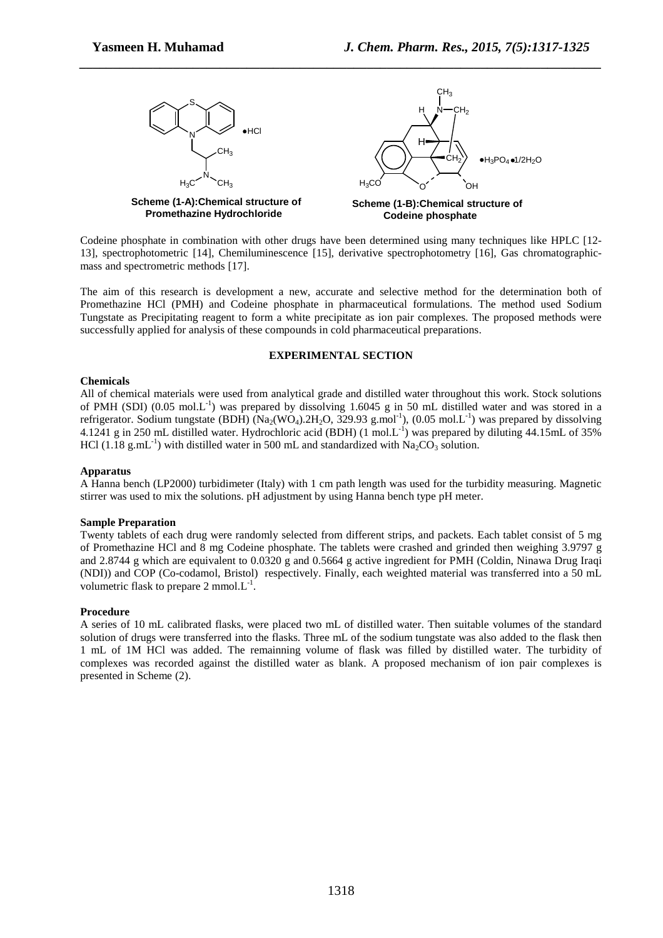

Codeine phosphate in combination with other drugs have been determined using many techniques like HPLC [12- 13], spectrophotometric [14], Chemiluminescence [15], derivative spectrophotometry [16], Gas chromatographicmass and spectrometric methods [17].

The aim of this research is development a new, accurate and selective method for the determination both of Promethazine HCl (PMH) and Codeine phosphate in pharmaceutical formulations. The method used Sodium Tungstate as Precipitating reagent to form a white precipitate as ion pair complexes. The proposed methods were successfully applied for analysis of these compounds in cold pharmaceutical preparations.

### **EXPERIMENTAL SECTION**

### **Chemicals**

All of chemical materials were used from analytical grade and distilled water throughout this work. Stock solutions of PMH (SDI) (0.05 mol.L<sup>-1</sup>) was prepared by dissolving 1.6045 g in 50 mL distilled water and was stored in a refrigerator. Sodium tungstate (BDH)  $(Na_2(WO_4).2H_2O, 329.93 \text{ g.mol}^{-1})$ , (0.05 mol.L<sup>-1</sup>) was prepared by dissolving 4.1241 g in 250 mL distilled water. Hydrochloric acid (BDH) (1 mol.L<sup>-1</sup>) was prepared by diluting 44.15mL of 35% HCl (1.18 g.mL<sup>-1</sup>) with distilled water in 500 mL and standardized with Na<sub>2</sub>CO<sub>3</sub> solution.

#### **Apparatus**

A Hanna bench (LP2000) turbidimeter (Italy) with 1 cm path length was used for the turbidity measuring. Magnetic stirrer was used to mix the solutions. pH adjustment by using Hanna bench type pH meter.

#### **Sample Preparation**

Twenty tablets of each drug were randomly selected from different strips, and packets. Each tablet consist of 5 mg of Promethazine HCl and 8 mg Codeine phosphate. The tablets were crashed and grinded then weighing 3.9797 g and 2.8744 g which are equivalent to 0.0320 g and 0.5664 g active ingredient for PMH (Coldin, Ninawa Drug Iraqi (NDI)) and COP (Co-codamol, Bristol) respectively. Finally, each weighted material was transferred into a 50 mL volumetric flask to prepare  $2 \text{ mmol.} L^{-1}$ .

#### **Procedure**

A series of 10 mL calibrated flasks, were placed two mL of distilled water. Then suitable volumes of the standard solution of drugs were transferred into the flasks. Three mL of the sodium tungstate was also added to the flask then 1 mL of 1M HCl was added. The remainning volume of flask was filled by distilled water. The turbidity of complexes was recorded against the distilled water as blank. A proposed mechanism of ion pair complexes is presented in Scheme (2).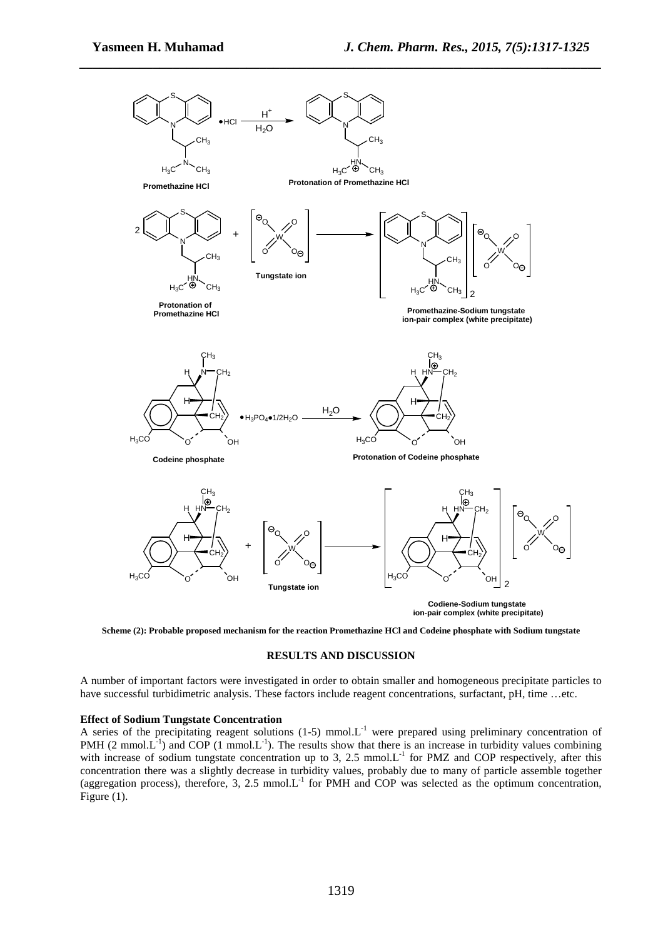

**Scheme (2): Probable proposed mechanism for the reaction Promethazine HCl and Codeine phosphate with Sodium tungstate** 

### **RESULTS AND DISCUSSION**

A number of important factors were investigated in order to obtain smaller and homogeneous precipitate particles to have successful turbidimetric analysis. These factors include reagent concentrations, surfactant, pH, time …etc.

#### **Effect of Sodium Tungstate Concentration**

A series of the precipitating reagent solutions (1-5) mmol.L<sup>-1</sup> were prepared using preliminary concentration of PMH (2 mmol.L<sup>-1</sup>) and COP (1 mmol.L<sup>-1</sup>). The results show that there is an increase in turbidity values combining with increase of sodium tungstate concentration up to 3, 2.5 mmol. $L^{-1}$  for PMZ and COP respectively, after this concentration there was a slightly decrease in turbidity values, probably due to many of particle assemble together (aggregation process), therefore, 3, 2.5 mmol. $L^{-1}$  for PMH and COP was selected as the optimum concentration, Figure (1).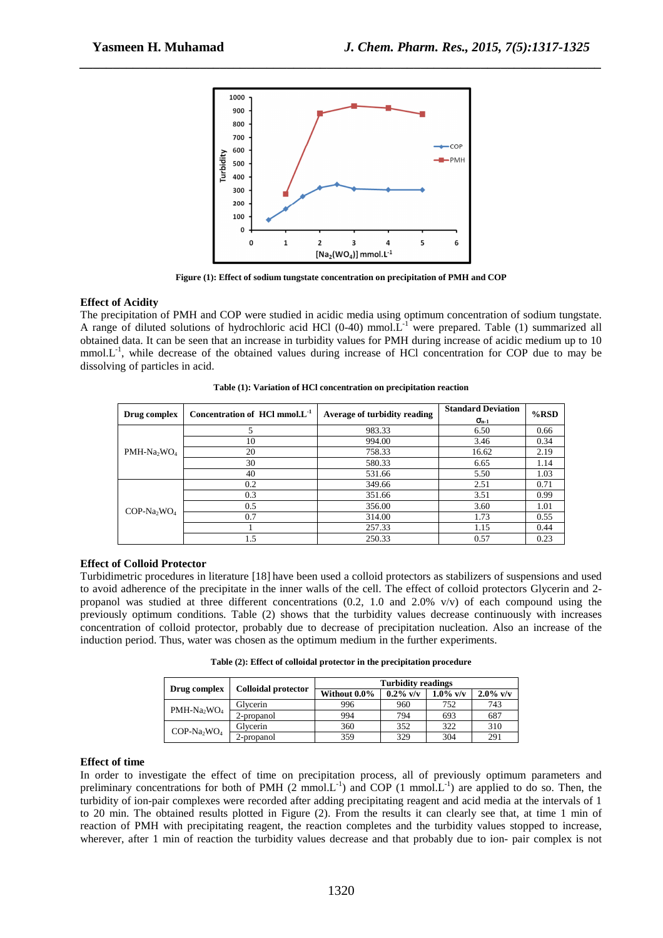

**Figure (1): Effect of sodium tungstate concentration on precipitation of PMH and COP** 

### **Effect of Acidity**

The precipitation of PMH and COP were studied in acidic media using optimum concentration of sodium tungstate. A range of diluted solutions of hydrochloric acid HCl  $(0-40)$  mmol.L<sup>-1</sup> were prepared. Table (1) summarized all obtained data. It can be seen that an increase in turbidity values for PMH during increase of acidic medium up to 10 mmol. $L^{-1}$ , while decrease of the obtained values during increase of HCl concentration for COP due to may be dissolving of particles in acid.

| Drug complex                        | Concentration of $HCl$ mmol. $L^{-1}$ | Average of turbidity reading | <b>Standard Deviation</b> | $%$ RSD |  |
|-------------------------------------|---------------------------------------|------------------------------|---------------------------|---------|--|
|                                     |                                       |                              | $\sigma_{n-1}$            |         |  |
|                                     |                                       | 983.33                       | 6.50                      | 0.66    |  |
|                                     | 10                                    | 994.00                       | 3.46                      | 0.34    |  |
| PMH-Na <sub>2</sub> WO <sub>4</sub> | 20                                    | 758.33                       | 16.62                     | 2.19    |  |
|                                     | 30                                    | 580.33                       | 6.65                      | 1.14    |  |
|                                     | 40                                    | 531.66                       | 5.50                      | 1.03    |  |
|                                     | 0.2                                   | 349.66                       | 2.51                      | 0.71    |  |
|                                     | 0.3                                   | 351.66                       | 3.51                      | 0.99    |  |
| $COP-Na_2WO_4$                      | 0.5                                   | 356.00                       | 3.60                      | 1.01    |  |
|                                     | 0.7                                   | 314.00                       | 1.73                      | 0.55    |  |
|                                     |                                       | 257.33                       | 1.15                      | 0.44    |  |
|                                     | 1.5                                   | 250.33                       | 0.57                      | 0.23    |  |

**Table (1): Variation of HCl concentration on precipitation reaction** 

#### **Effect of Colloid Protector**

Turbidimetric procedures in literature [18] have been used a colloid protectors as stabilizers of suspensions and used to avoid adherence of the precipitate in the inner walls of the cell. The effect of colloid protectors Glycerin and 2 propanol was studied at three different concentrations  $(0.2, 1.0, 2.0\% \text{ V/V})$  of each compound using the previously optimum conditions. Table (2) shows that the turbidity values decrease continuously with increases concentration of colloid protector, probably due to decrease of precipitation nucleation. Also an increase of the induction period. Thus, water was chosen as the optimum medium in the further experiments.

**Table (2): Effect of colloidal protector in the precipitation procedure** 

|                                     | <b>Colloidal protector</b> | <b>Turbidity readings</b> |             |             |             |  |
|-------------------------------------|----------------------------|---------------------------|-------------|-------------|-------------|--|
| Drug complex                        |                            | Without 0.0%              | $0.2\%$ v/v | $1.0\%$ v/v | $2.0\%$ v/v |  |
| PMH-Na <sub>2</sub> WO <sub>4</sub> | Glycerin                   | 996                       | 960         | 752         | 743         |  |
|                                     | 2-propanol                 | 994                       | 794         | 693         | 687         |  |
| $COP-Na$ <sub>y</sub> $NO4$         | Glycerin                   | 360                       | 352         | 322         | 310         |  |
|                                     | 2-propanol                 | 359                       | 329         | 304         | 291         |  |

#### **Effect of time**

In order to investigate the effect of time on precipitation process, all of previously optimum parameters and preliminary concentrations for both of PMH  $(2 \text{ mmol.}L^{-1})$  and COP  $(1 \text{ mmol.}L^{-1})$  are applied to do so. Then, the turbidity of ion-pair complexes were recorded after adding precipitating reagent and acid media at the intervals of 1 to 20 min. The obtained results plotted in Figure (2). From the results it can clearly see that, at time 1 min of reaction of PMH with precipitating reagent, the reaction completes and the turbidity values stopped to increase, wherever, after 1 min of reaction the turbidity values decrease and that probably due to ion- pair complex is not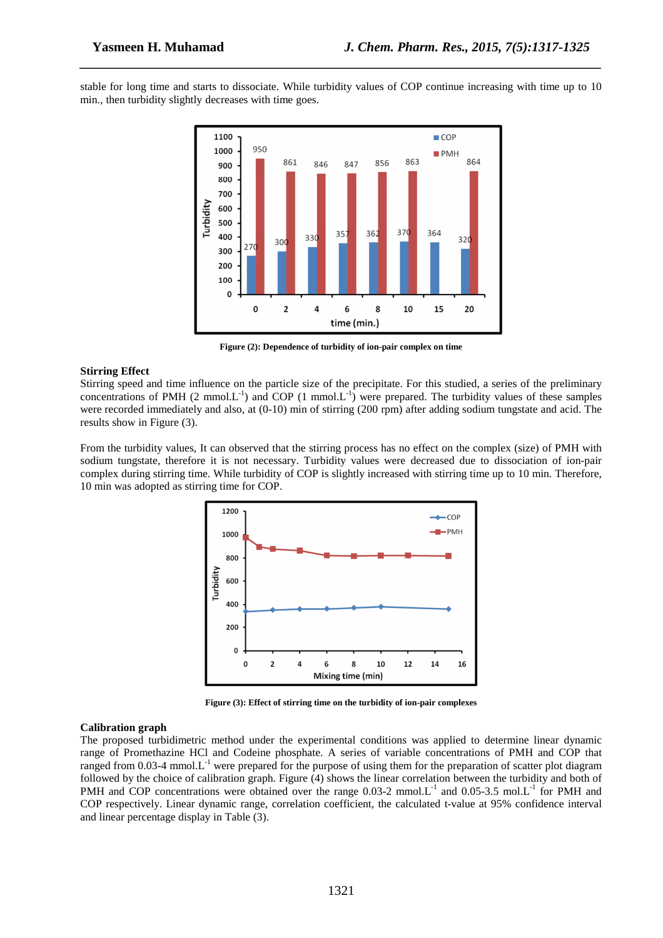stable for long time and starts to dissociate. While turbidity values of COP continue increasing with time up to 10 min., then turbidity slightly decreases with time goes.

*\_\_\_\_\_\_\_\_\_\_\_\_\_\_\_\_\_\_\_\_\_\_\_\_\_\_\_\_\_\_\_\_\_\_\_\_\_\_\_\_\_\_\_\_\_\_\_\_\_\_\_\_\_\_\_\_\_\_\_\_\_\_\_\_\_\_\_\_\_\_\_\_\_\_\_\_\_\_*



**Figure (2): Dependence of turbidity of ion-pair complex on time** 

#### **Stirring Effect**

Stirring speed and time influence on the particle size of the precipitate. For this studied, a series of the preliminary concentrations of PMH (2 mmol.L<sup>-1</sup>) and COP (1 mmol.L<sup>-1</sup>) were prepared. The turbidity values of these samples were recorded immediately and also, at  $(0-10)$  min of stirring (200 rpm) after adding sodium tungstate and acid. The results show in Figure (3).

From the turbidity values, It can observed that the stirring process has no effect on the complex (size) of PMH with sodium tungstate, therefore it is not necessary. Turbidity values were decreased due to dissociation of ion-pair complex during stirring time. While turbidity of COP is slightly increased with stirring time up to 10 min. Therefore, 10 min was adopted as stirring time for COP.



**Figure (3): Effect of stirring time on the turbidity of ion-pair complexes** 

#### **Calibration graph**

The proposed turbidimetric method under the experimental conditions was applied to determine linear dynamic range of Promethazine HCl and Codeine phosphate. A series of variable concentrations of PMH and COP that ranged from  $0.03-4$  mmol. $L^{-1}$  were prepared for the purpose of using them for the preparation of scatter plot diagram followed by the choice of calibration graph. Figure (4) shows the linear correlation between the turbidity and both of PMH and COP concentrations were obtained over the range 0.03-2 mmol. L<sup>-1</sup> and 0.05-3.5 mol. L<sup>-1</sup> for PMH and COP respectively. Linear dynamic range, correlation coefficient, the calculated t-value at 95% confidence interval and linear percentage display in Table (3).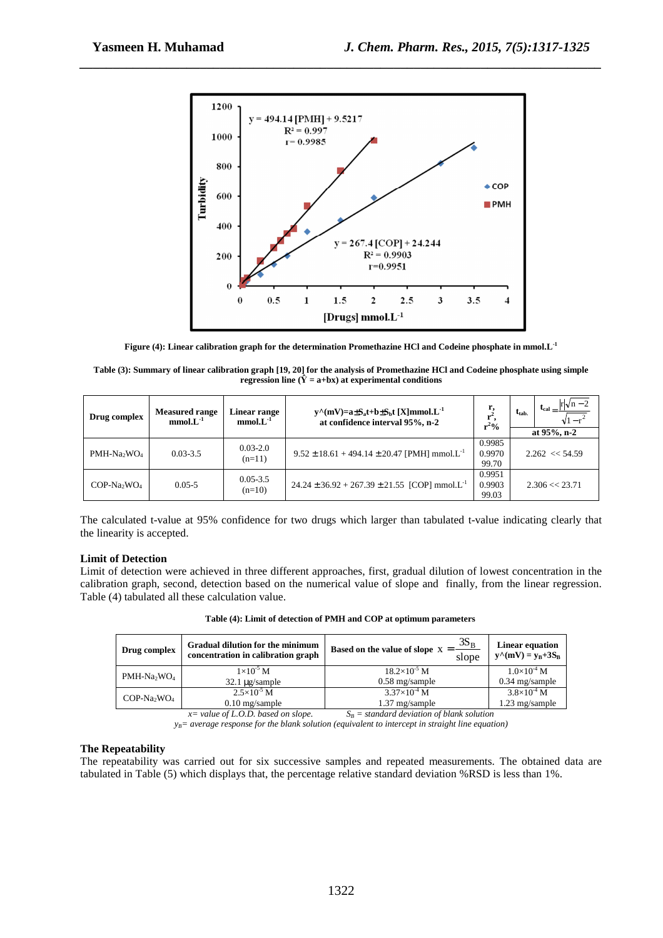

**Figure (4): Linear calibration graph for the determination Promethazine HCl and Codeine phosphate in mmol.L-1**

**Table (3): Summary of linear calibration graph [19, 20] for the analysis of Promethazine HCl and Codeine phosphate using simple regression line (** $\hat{Y} = a + bx$ **) at experimental conditions** 

| Drug complex   | <b>Measured range</b><br>$mmol.L^{-1}$ | <b>Linear range</b><br>$mmol.L^{-1}$ | $y^{\wedge}(mV) = a \pm S_a t + b \pm S_b t$ [X]mmol.L <sup>-1</sup><br>at confidence interval 95%, n-2 | 1,<br>$r^2%$              | $ r \sqrt{n}-2$<br>$t_{cal}$<br>$t_{\rm tab.}$ |  |
|----------------|----------------------------------------|--------------------------------------|---------------------------------------------------------------------------------------------------------|---------------------------|------------------------------------------------|--|
|                |                                        |                                      |                                                                                                         |                           | at 95%, n-2                                    |  |
| $PMH-Na_2WO_4$ | $0.03 - 3.5$                           | $0.03 - 2.0$<br>$(n=11)$             | $9.52 \pm 18.61 + 494.14 \pm 20.47$ [PMH] mmol.L <sup>-1</sup>                                          | 0.9985<br>0.9970<br>99.70 | $2.262 \le 54.59$                              |  |
| $COP-Na_2WO_4$ | $0.05 - 5$                             | $0.05 - 3.5$<br>$(n=10)$             | $24.24 \pm 36.92 + 267.39 \pm 21.55$ [COP] mmol.L <sup>-1</sup>                                         | 0.9951<br>0.9903<br>99.03 | $2.306 \ll 23.71$                              |  |

The calculated t-value at 95% confidence for two drugs which larger than tabulated t-value indicating clearly that the linearity is accepted.

### **Limit of Detection**

Limit of detection were achieved in three different approaches, first, gradual dilution of lowest concentration in the calibration graph, second, detection based on the numerical value of slope and finally, from the linear regression. Table (4) tabulated all these calculation value.

| Drug complex                        | <b>Gradual dilution for the minimum</b><br>concentration in calibration graph | <sup>1</sup> Based on the value of slope $X = \frac{3S_B}{\ }$ ,<br>slope | <b>Linear equation</b><br>$y^{\wedge}(mV) = y_B + 3S_B$ |
|-------------------------------------|-------------------------------------------------------------------------------|---------------------------------------------------------------------------|---------------------------------------------------------|
| PMH-Na <sub>2</sub> WO <sub>4</sub> | $1\times10^{-5}$ M                                                            | $18.2\times10^{-5}$ M                                                     | $1.0\times10^{-4}$ M                                    |
|                                     | $32.1 \mu$ g/sample                                                           | $0.58$ mg/sample                                                          | $0.34$ mg/sample                                        |
| $COP-Na_2WO_4$                      | $2.5\times10^{-5}$ M                                                          | $3.37\times10^{-4}$ M                                                     | $3.8\times10^{4}$ M                                     |
|                                     | $0.10$ mg/sample                                                              | 1.37 mg/sample                                                            | 1.23 mg/sample                                          |

**Table (4): Limit of detection of PMH and COP at optimum parameters** 

*x= value of L.O.D. based on slope. SB = standard deviation of blank solution* 

*yB= average response for the blank solution (equivalent to intercept in straight line equation)* 

### **The Repeatability**

The repeatability was carried out for six successive samples and repeated measurements. The obtained data are tabulated in Table (5) which displays that, the percentage relative standard deviation %RSD is less than 1%.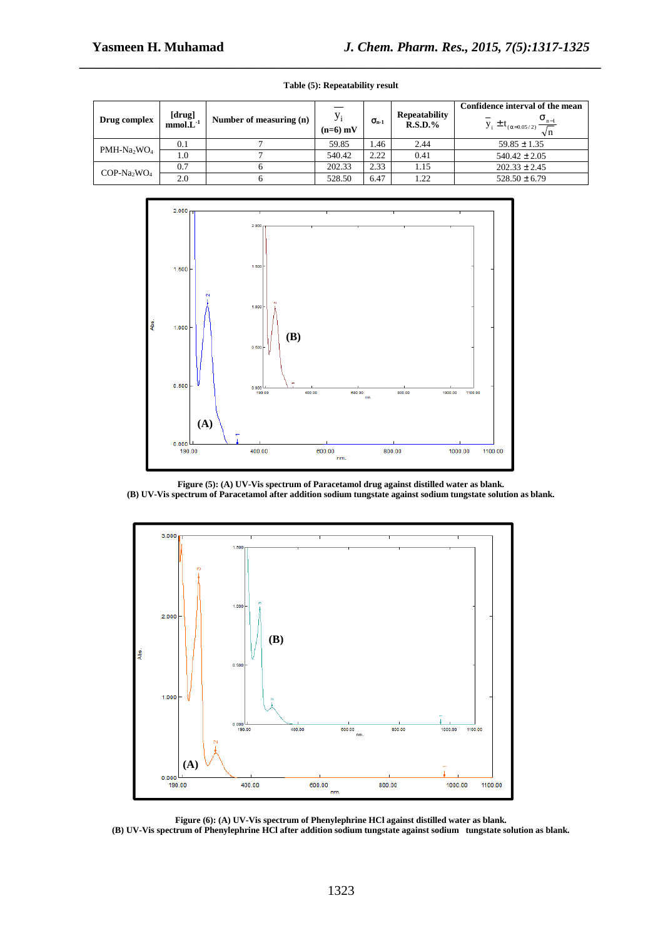| Drug complex   | [drug]<br>mmol.L <sup>-1</sup> | Number of measuring (n) | $y_i$<br>$(n=6)$ mV | $\sigma_{n-1}$ | <b>Repeatability</b><br>$R.S.D.$ % | Confidence interval of the mean<br>$\overline{y}_i \pm t_{(\alpha=0.05/2)} \frac{\sigma_{n-1}}{\sqrt{n}}$<br>$\sqrt{n}$ |
|----------------|--------------------------------|-------------------------|---------------------|----------------|------------------------------------|-------------------------------------------------------------------------------------------------------------------------|
| $PMH-Na_2WO_4$ | 0.1                            |                         | 59.85               | 1.46           | 2.44                               | $59.85 \pm 1.35$                                                                                                        |
|                | 1.0                            |                         | 540.42              | 2.22           | 0.41                               | $540.42 \pm 2.05$                                                                                                       |
| $COP-Na_2WO_4$ | 0.7                            |                         | 202.33              | 2.33           | 1.15                               | $202.33 \pm 2.45$                                                                                                       |
|                | 2.0                            |                         | 528.50              | 6.47           | 1.22                               | $528.50 \pm 6.79$                                                                                                       |

# *\_\_\_\_\_\_\_\_\_\_\_\_\_\_\_\_\_\_\_\_\_\_\_\_\_\_\_\_\_\_\_\_\_\_\_\_\_\_\_\_\_\_\_\_\_\_\_\_\_\_\_\_\_\_\_\_\_\_\_\_\_\_\_\_\_\_\_\_\_\_\_\_\_\_\_\_\_\_* **Table (5): Repeatability result**



**Figure (5): (A) UV-Vis spectrum of Paracetamol drug against distilled water as blank. (B) UV-Vis spectrum of Paracetamol after addition sodium tungstate against sodium tungstate solution as blank.** 



**Figure (6): (A) UV-Vis spectrum of Phenylephrine HCl against distilled water as blank.** 

**(B) UV-Vis spectrum of Phenylephrine HCl after addition sodium tungstate against sodium tungstate solution as blank.**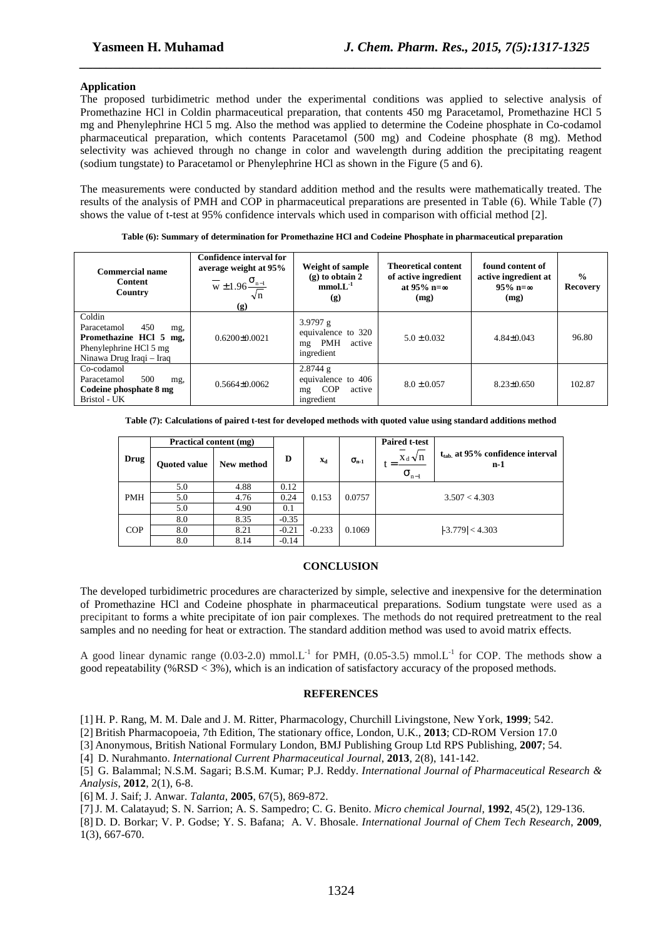#### **Application**

The proposed turbidimetric method under the experimental conditions was applied to selective analysis of Promethazine HCl in Coldin pharmaceutical preparation, that contents 450 mg Paracetamol, Promethazine HCl 5 mg and Phenylephrine HCl 5 mg. Also the method was applied to determine the Codeine phosphate in Co-codamol pharmaceutical preparation, which contents Paracetamol (500 mg) and Codeine phosphate (8 mg). Method selectivity was achieved through no change in color and wavelength during addition the precipitating reagent (sodium tungstate) to Paracetamol or Phenylephrine HCl as shown in the Figure (5 and 6).

*\_\_\_\_\_\_\_\_\_\_\_\_\_\_\_\_\_\_\_\_\_\_\_\_\_\_\_\_\_\_\_\_\_\_\_\_\_\_\_\_\_\_\_\_\_\_\_\_\_\_\_\_\_\_\_\_\_\_\_\_\_\_\_\_\_\_\_\_\_\_\_\_\_\_\_\_\_\_*

The measurements were conducted by standard addition method and the results were mathematically treated. The results of the analysis of PMH and COP in pharmaceutical preparations are presented in Table (6). While Table (7) shows the value of t-test at 95% confidence intervals which used in comparison with official method [2].

| Commercial name<br><b>Content</b><br>Country                                                                        | Confidence interval for<br>average weight at 95%<br>$\frac{0}{\text{W}} \pm 1.96 \frac{\sigma_{n-1}}{2}$<br>$\sqrt{n}$<br>(g) | Weight of sample<br>$(g)$ to obtain 2<br>$mmol.L^{-1}$<br>(g)      | <b>Theoretical content</b><br>of active ingredient<br>at $95\%$ n= $\infty$<br>(mg) | found content of<br>active ingredient at<br>$95\%$ n= $\infty$<br>(mg) | $\frac{6}{9}$<br><b>Recovery</b> |
|---------------------------------------------------------------------------------------------------------------------|-------------------------------------------------------------------------------------------------------------------------------|--------------------------------------------------------------------|-------------------------------------------------------------------------------------|------------------------------------------------------------------------|----------------------------------|
| Coldin<br>450<br>Paracetamol<br>mg,<br>Promethazine HCl 5 mg,<br>Phenylephrine HCl 5 mg<br>Ninawa Drug Iraqi - Iraq | $0.6200\pm0.0021$                                                                                                             | 3.9797 $g$<br>equivalence to 320<br>mg PMH<br>active<br>ingredient | $5.0 \pm 0.032$                                                                     | $4.84\pm0.043$                                                         | 96.80                            |
| Co-codamol<br>500<br>Paracetamol<br>mg,<br>Codeine phosphate 8 mg<br>Bristol - UK                                   | $0.5664\pm0.0062$                                                                                                             | $2.8744$ g<br>equivalence to 406<br>mg COP<br>active<br>ingredient | $8.0 \pm 0.057$                                                                     | $8.23 \pm 0.650$                                                       | 102.87                           |

**Table (6): Summary of determination for Promethazine HCl and Codeine Phosphate in pharmaceutical preparation** 

| Table (7): Calculations of paired t-test for developed methods with quoted value using standard additions method |  |  |  |
|------------------------------------------------------------------------------------------------------------------|--|--|--|
|------------------------------------------------------------------------------------------------------------------|--|--|--|

|            | Practical content (mg) |            |         |          |                | <b>Paired t-test</b>             |                                                      |  |
|------------|------------------------|------------|---------|----------|----------------|----------------------------------|------------------------------------------------------|--|
| Drug       | <b>Ouoted value</b>    | New method | D       | $X_d$    | $\sigma_{n-1}$ | $X_d \sqrt{n}$<br>$\sigma_{n-1}$ | $t_{\text{tab}}$ at 95% confidence interval<br>$n-1$ |  |
|            | 5.0                    | 4.88       | 0.12    |          |                | 3.507 < 4.303                    |                                                      |  |
| <b>PMH</b> | 5.0                    | 4.76       | 0.24    | 0.153    | 0.0757         |                                  |                                                      |  |
|            | 5.0                    | 4.90       | 0.1     |          |                |                                  |                                                      |  |
|            | 8.0                    | 8.35       | $-0.35$ |          |                |                                  |                                                      |  |
| COP        | 8.0                    | 8.21       | $-0.21$ | $-0.233$ |                | 0.1069                           | $ -3.779  < 4.303$                                   |  |
|            | 8.0                    | 8.14       | $-0.14$ |          |                |                                  |                                                      |  |

#### **CONCLUSION**

The developed turbidimetric procedures are characterized by simple, selective and inexpensive for the determination of Promethazine HCl and Codeine phosphate in pharmaceutical preparations. Sodium tungstate were used as a precipitant to forms a white precipitate of ion pair complexes. The methods do not required pretreatment to the real samples and no needing for heat or extraction. The standard addition method was used to avoid matrix effects.

A good linear dynamic range (0.03-2.0) mmol.L<sup>-1</sup> for PMH, (0.05-3.5) mmol.L<sup>-1</sup> for COP. The methods show a good repeatability (%RSD < 3%), which is an indication of satisfactory accuracy of the proposed methods.

#### **REFERENCES**

[1] H. P. Rang, M. M. Dale and J. M. Ritter, Pharmacology, Churchill Livingstone, New York, **1999**; 542.

[2] British Pharmacopoeia, 7th Edition, The stationary office, London, U.K., **2013**; CD-ROM Version 17.0

[3] Anonymous, British National Formulary London, BMJ Publishing Group Ltd RPS Publishing, **2007**; 54.

[4] D. Nurahmanto. *International Current Pharmaceutical Journal*, **2013**, 2(8), 141-142.

[5] G. Balammal; N.S.M. Sagari; B.S.M. Kumar; P.J. Reddy. *International Journal of Pharmaceutical Research & Analysis*, **2012**, 2(1), 6-8.

[6] M. J. Saif; J. Anwar. *Talanta*, **2005**, 67(5), 869-872.

[7]J. M. Calatayud; S. N. Sarrion; A. S. Sampedro; C. G. Benito. *Micro chemical Journal*, **1992**, 45(2), 129-136.

[8] D. D. Borkar; V. P. Godse; Y. S. Bafana; A. V. Bhosale. *International Journal of Chem Tech Research*, **2009**, 1(3), 667-670.